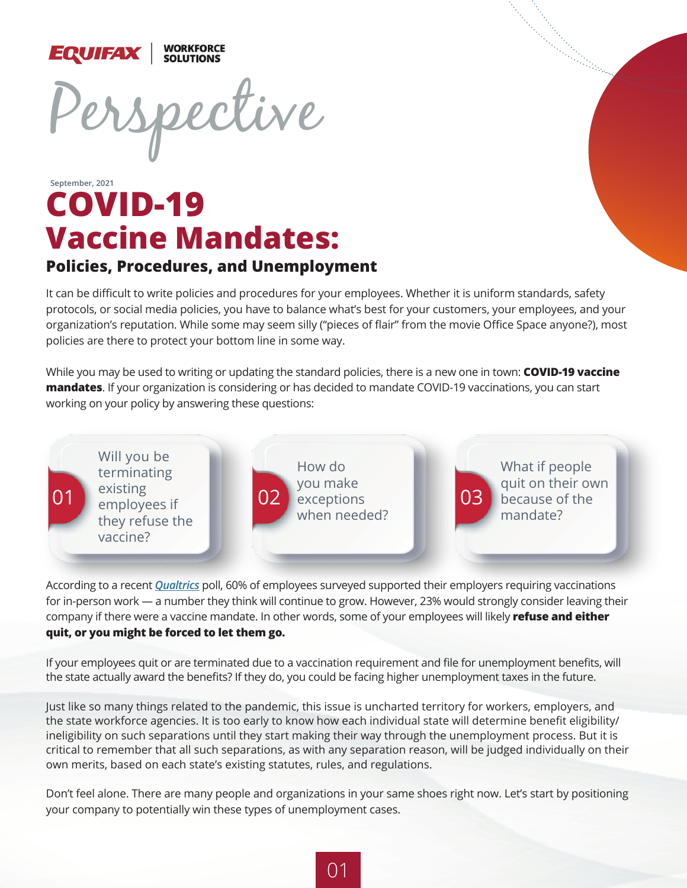

## **COVID-19 Vaccine Mandates: September, 2021**

#### **Policies, Procedures, and Unemployment**

It can be difficult to write policies and procedures for your employees. Whether it is uniform standards, safety protocols, or social media policies, you have to balance what's best for your customers, your employees, and your organization's reputation. While some may seem silly ("pieces of flair" from the movie Office Space anyone?), most policies are there to protect your bottom line in some way.

While you may be used to writing or updating the standard policies, there is a new one in town: **COVID-19 vaccine mandates**. If your organization is considering or has decided to mandate COVID-19 vaccinations, you can start working on your policy by answering these questions:



According to a recent *[Qualtrics](https://www.qualtrics.com/blog/vaccine-policies-for-employees/)* poll, 60% of employees surveyed supported their employers requiring vaccinations for in-person work — a number they think will continue to grow. However, 23% would strongly consider leaving their company if there were a vaccine mandate. In other words, some of your employees will likely **refuse and either quit, or you might be forced to let them go.**

If your employees quit or are terminated due to a vaccination requirement and file for unemployment benefits, will the state actually award the benefits? If they do, you could be facing higher unemployment taxes in the future.

Just like so many things related to the pandemic, this issue is uncharted territory for workers, employers, and the state workforce agencies. It is too early to know how each individual state will determine benefit eligibility/ ineligibility on such separations until they start making their way through the unemployment process. But it is critical to remember that all such separations, as with any separation reason, will be judged individually on their own merits, based on each state's existing statutes, rules, and regulations.

Don't feel alone. There are many people and organizations in your same shoes right now. Let's start by positioning your company to potentially win these types of unemployment cases.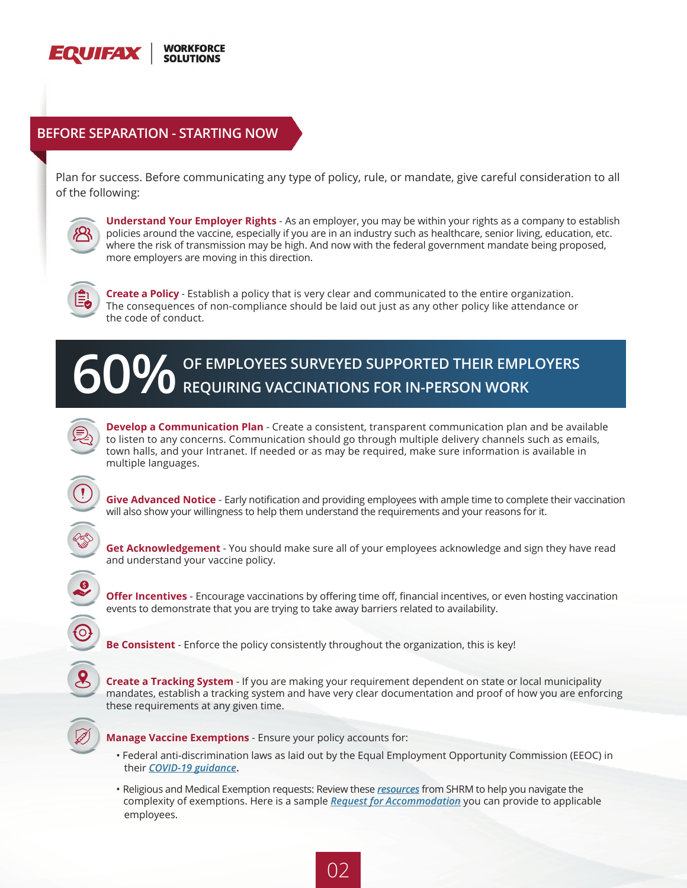

#### **BEFORE SEPARATION - STARTING NOW**

Plan for success. Before communicating any type of policy, rule, or mandate, give careful consideration to all of the following:



**Understand Your Employer Rights** - As an employer, you may be within your rights as a company to establish policies around the vaccine, especially if you are in an industry such as healthcare, senior living, education, etc. where the risk of transmission may be high. And now with the federal government mandate being proposed, more employers are moving in this direction.



**Create a Policy** - Establish a policy that is very clear and communicated to the entire organization. The consequences of non-compliance should be laid out just as any other policy like attendance or the code of conduct.





**Develop a Communication Plan** - Create a consistent, transparent communication plan and be available to listen to any concerns. Communication should go through multiple delivery channels such as emails, town halls, and your Intranet. If needed or as may be required, make sure information is available in multiple languages.

**Give Advanced Notice** - Early notification and providing employees with ample time to complete their vaccination will also show your willingness to help them understand the requirements and your reasons for it.

**Get Acknowledgement** - You should make sure all of your employees acknowledge and sign they have read and understand your vaccine policy.

**Offer Incentives** - Encourage vaccinations by offering time off, financial incentives, or even hosting vaccination events to demonstrate that you are trying to take away barriers related to availability.

**Be Consistent** - Enforce the policy consistently throughout the organization, this is key!

**Create a Tracking System** - If you are making your requirement dependent on state or local municipality mandates, establish a tracking system and have very clear documentation and proof of how you are enforcing these requirements at any given time.



**Manage Vaccine Exemptions** - Ensure your policy accounts for:

- Federal anti-discrimination laws as laid out by the Equal Employment Opportunity Commission (EEOC) in their *[COVID-19 guidance](https://www.eeoc.gov/wysk/what-you-should-know-about-covid-19-and-ada-rehabilitation-act-and-other-eeo-laws)***.**
- Religious and Medical Exemption requests: Review these *[resources](https://www.shrm.org/resourcesandtools/tools-and-samples/exreq/pages/details.aspx?erid=1672)* from SHRM to help you navigate the complexity of exemptions. Here is a sample *[Request for Accommodation](https://www.shrm.org/resourcesandtools/tools-and-samples/hr-forms/pages/request-for-accommodation-medical-exemption-from-vaccination-covid19-coronavirus.aspx)* you can provide to applicable employees.